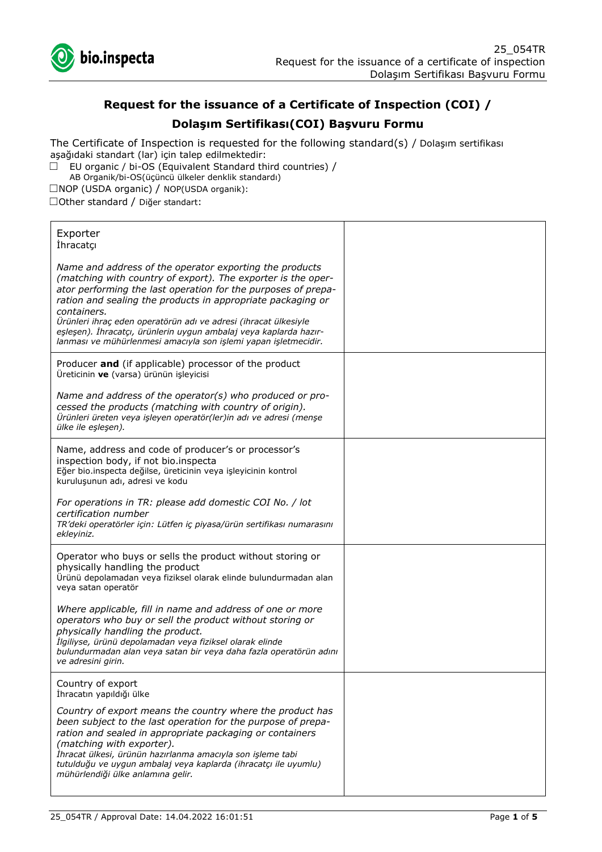

# **Request for the issuance of a Certificate of Inspection (COI) /**

# **Dolaşım Sertifikası(COI) Başvuru Formu**

The Certificate of Inspection is requested for the following standard(s) / Dolaşım sertifikası aşağıdaki standart (lar) için talep edilmektedir:

 $\Box$  EU organic / bi-OS (Equivalent Standard third countries) / AB Organik/bi-OS(üçüncü ülkeler denklik standardı)

☐NOP (USDA organic) / NOP(USDA organik):

☐Other standard / Diğer standart:

| Exporter<br><i>Ihracatçı</i>                                                                                                                                                                                                                                                                                                                                                                                                                                                      |  |
|-----------------------------------------------------------------------------------------------------------------------------------------------------------------------------------------------------------------------------------------------------------------------------------------------------------------------------------------------------------------------------------------------------------------------------------------------------------------------------------|--|
| Name and address of the operator exporting the products<br>(matching with country of export). The exporter is the oper-<br>ator performing the last operation for the purposes of prepa-<br>ration and sealing the products in appropriate packaging or<br>containers.<br>Ürünleri ihraç eden operatörün adı ve adresi (ihracat ülkesiyle<br>eşleşen). İhracatçı, ürünlerin uygun ambalaj veya kaplarda hazır-<br>lanması ve mühürlenmesi amacıyla son işlemi yapan işletmecidir. |  |
| Producer and (if applicable) processor of the product<br>Üreticinin ve (varsa) ürünün işleyicisi                                                                                                                                                                                                                                                                                                                                                                                  |  |
| Name and address of the operator(s) who produced or pro-<br>cessed the products (matching with country of origin).<br>Ürünleri üreten veya işleyen operatör(ler)in adı ve adresi (menşe<br>ülke ile eşleşen).                                                                                                                                                                                                                                                                     |  |
| Name, address and code of producer's or processor's<br>inspection body, if not bio.inspecta<br>Eğer bio.inspecta değilse, üreticinin veya işleyicinin kontrol<br>kuruluşunun adı, adresi ve kodu                                                                                                                                                                                                                                                                                  |  |
| For operations in TR: please add domestic COI No. / lot<br>certification number<br>TR'deki operatörler için: Lütfen iç piyasa/ürün sertifikası numarasını<br>ekleyiniz.                                                                                                                                                                                                                                                                                                           |  |
| Operator who buys or sells the product without storing or<br>physically handling the product<br>Ürünü depolamadan veya fiziksel olarak elinde bulundurmadan alan<br>veya satan operatör                                                                                                                                                                                                                                                                                           |  |
| Where applicable, fill in name and address of one or more<br>operators who buy or sell the product without storing or<br>physically handling the product.<br>İlgiliyse, ürünü depolamadan veya fiziksel olarak elinde<br>bulundurmadan alan veya satan bir veya daha fazla operatörün adını<br>ve adresini girin.                                                                                                                                                                 |  |
| Country of export<br>İhracatın yapıldığı ülke                                                                                                                                                                                                                                                                                                                                                                                                                                     |  |
| Country of export means the country where the product has<br>been subject to the last operation for the purpose of prepa-<br>ration and sealed in appropriate packaging or containers<br>(matching with exporter).<br>İhracat ülkesi, ürünün hazırlanma amacıyla son işleme tabi<br>tutulduğu ve uygun ambalaj veya kaplarda (ihracatçı ile uyumlu)<br>mühürlendiği ülke anlamına gelir.                                                                                          |  |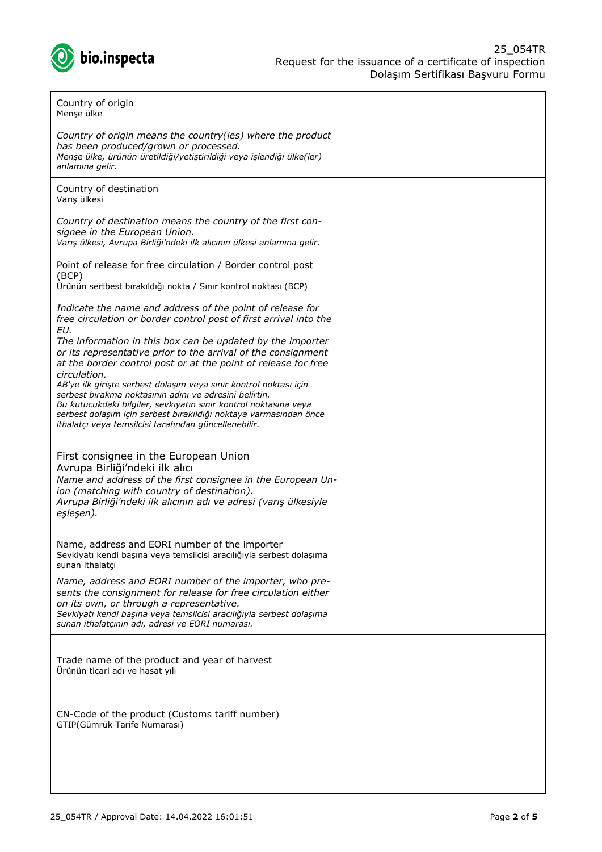

| Country of origin<br>Menşe ülke                                                                                                                                                                                                                                                                                               |  |
|-------------------------------------------------------------------------------------------------------------------------------------------------------------------------------------------------------------------------------------------------------------------------------------------------------------------------------|--|
| Country of origin means the country(ies) where the product<br>has been produced/grown or processed.<br>Menşe ülke, ürünün üretildiği/yetiştirildiği veya işlendiği ülke(ler)<br>anlamına gelir.                                                                                                                               |  |
| Country of destination<br>Varış ülkesi                                                                                                                                                                                                                                                                                        |  |
| Country of destination means the country of the first con-<br>signee in the European Union.<br>Varış ülkesi, Avrupa Birliği'ndeki ilk alıcının ülkesi anlamına gelir.                                                                                                                                                         |  |
| Point of release for free circulation / Border control post<br>(BCP)<br>Ürünün sertbest bırakıldığı nokta / Sınır kontrol noktası (BCP)                                                                                                                                                                                       |  |
| Indicate the name and address of the point of release for<br>free circulation or border control post of first arrival into the<br>EU.                                                                                                                                                                                         |  |
| The information in this box can be updated by the importer<br>or its representative prior to the arrival of the consignment<br>at the border control post or at the point of release for free<br>circulation.                                                                                                                 |  |
| AB'ye ilk girişte serbest dolaşım veya sınır kontrol noktası için<br>serbest bırakma noktasının adını ve adresini belirtin.<br>Bu kutucukdaki bilgiler, sevkıyatın sınır kontrol noktasına veya<br>serbest dolaşım için serbest bırakıldığı noktaya varmasından önce<br>ithalatçı veya temsilcisi tarafından güncellenebilir. |  |
| First consignee in the European Union<br>Avrupa Birliği'ndeki ilk alıcı<br>Name and address of the first consignee in the European Un-<br>ion (matching with country of destination).<br>Avrupa Birliği'ndeki ilk alıcının adı ve adresi (varış ülkesiyle<br>eşleşen).                                                        |  |
| Name, address and EORI number of the importer<br>Sevkiyatı kendi başına veya temsilcisi aracılığıyla serbest dolaşıma<br>sunan ithalatcı                                                                                                                                                                                      |  |
| Name, address and EORI number of the importer, who pre-<br>sents the consignment for release for free circulation either<br>on its own, or through a representative.<br>Sevkiyatı kendi başına veya temsilcisi aracılığıyla serbest dolaşıma<br>sunan ithalatçının adı, adresi ve EORI numarası.                              |  |
| Trade name of the product and year of harvest<br>Ürünün ticari adı ve hasat yılı                                                                                                                                                                                                                                              |  |
| CN-Code of the product (Customs tariff number)<br>GTIP(Gümrük Tarife Numarası)                                                                                                                                                                                                                                                |  |
|                                                                                                                                                                                                                                                                                                                               |  |
|                                                                                                                                                                                                                                                                                                                               |  |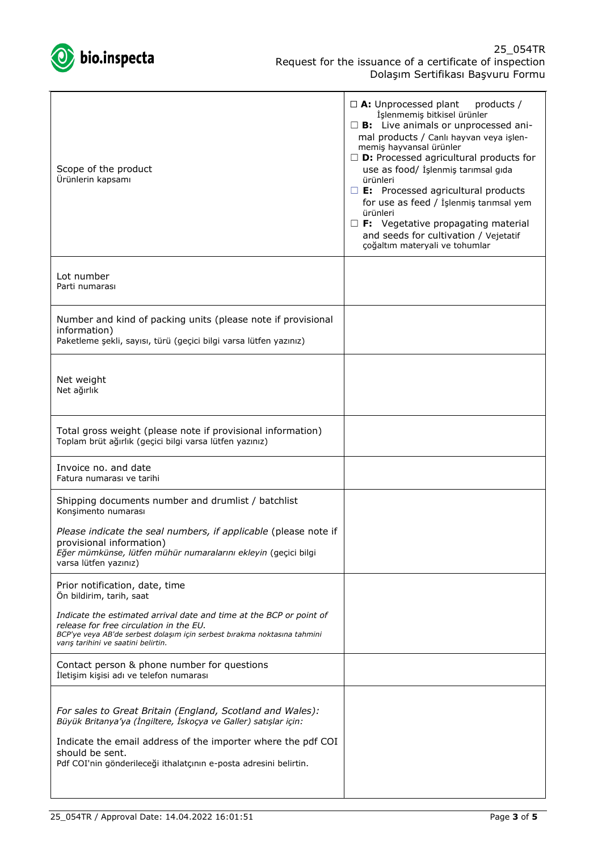

| Scope of the product<br>Ürünlerin kapsamı                                                                                                                                                                                                                                            | $\Box$ A: Unprocessed plant<br>products /<br>İşlenmemiş bitkisel ürünler<br>$\square$ <b>B:</b> Live animals or unprocessed ani-<br>mal products / Canlı hayvan veya işlen-<br>memiş hayvansal ürünler<br>$\Box$ <b>D:</b> Processed agricultural products for<br>use as food/ İşlenmiş tarımsal gıda<br>ürünleri<br>$\square$ <b>E:</b> Processed agricultural products<br>for use as feed / İşlenmiş tarımsal yem<br>ürünleri<br>$\Box$ F: Vegetative propagating material<br>and seeds for cultivation / Vejetatif<br>çoğaltım materyali ve tohumlar |
|--------------------------------------------------------------------------------------------------------------------------------------------------------------------------------------------------------------------------------------------------------------------------------------|---------------------------------------------------------------------------------------------------------------------------------------------------------------------------------------------------------------------------------------------------------------------------------------------------------------------------------------------------------------------------------------------------------------------------------------------------------------------------------------------------------------------------------------------------------|
| Lot number<br>Parti numarası                                                                                                                                                                                                                                                         |                                                                                                                                                                                                                                                                                                                                                                                                                                                                                                                                                         |
| Number and kind of packing units (please note if provisional<br>information)<br>Paketleme şekli, sayısı, türü (geçici bilgi varsa lütfen yazınız)                                                                                                                                    |                                                                                                                                                                                                                                                                                                                                                                                                                                                                                                                                                         |
| Net weight<br>Net ağırlık                                                                                                                                                                                                                                                            |                                                                                                                                                                                                                                                                                                                                                                                                                                                                                                                                                         |
| Total gross weight (please note if provisional information)<br>Toplam brüt ağırlık (geçici bilgi varsa lütfen yazınız)                                                                                                                                                               |                                                                                                                                                                                                                                                                                                                                                                                                                                                                                                                                                         |
| Invoice no, and date<br>Fatura numarası ve tarihi                                                                                                                                                                                                                                    |                                                                                                                                                                                                                                                                                                                                                                                                                                                                                                                                                         |
| Shipping documents number and drumlist / batchlist<br>Konşimento numarası                                                                                                                                                                                                            |                                                                                                                                                                                                                                                                                                                                                                                                                                                                                                                                                         |
| Please indicate the seal numbers, if applicable (please note if<br>provisional information)<br>Eğer mümkünse, lütfen mühür numaralarını ekleyin (geçici bilgi<br>varsa lütfen yazınız)                                                                                               |                                                                                                                                                                                                                                                                                                                                                                                                                                                                                                                                                         |
| Prior notification, date, time<br>Ön bildirim, tarih, saat                                                                                                                                                                                                                           |                                                                                                                                                                                                                                                                                                                                                                                                                                                                                                                                                         |
| Indicate the estimated arrival date and time at the BCP or point of<br>release for free circulation in the EU.<br>BCP'ye veya AB'de serbest dolaşım için serbest bırakma noktasına tahmini<br>varış tarihini ve saatini belirtin.                                                    |                                                                                                                                                                                                                                                                                                                                                                                                                                                                                                                                                         |
| Contact person & phone number for questions<br>İletişim kişisi adı ve telefon numarası                                                                                                                                                                                               |                                                                                                                                                                                                                                                                                                                                                                                                                                                                                                                                                         |
| For sales to Great Britain (England, Scotland and Wales):<br>Büyük Britanya'ya (İngiltere, İskoçya ve Galler) satışlar için:<br>Indicate the email address of the importer where the pdf COI<br>should be sent.<br>Pdf COI'nin gönderileceği ithalatçının e-posta adresini belirtin. |                                                                                                                                                                                                                                                                                                                                                                                                                                                                                                                                                         |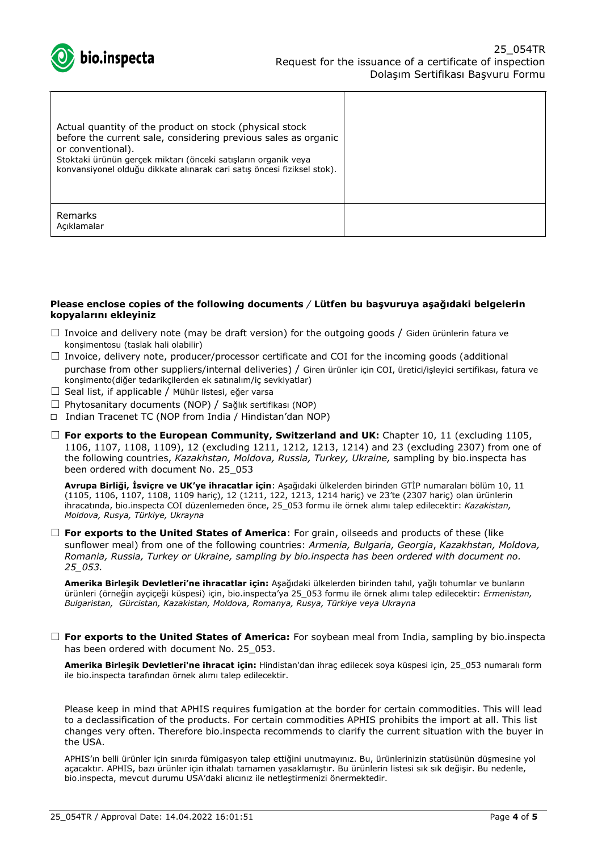

| Actual quantity of the product on stock (physical stock<br>before the current sale, considering previous sales as organic<br>or conventional).<br>Stoktaki ürünün gerçek miktarı (önceki satışların organik veya<br>konvansiyonel olduğu dikkate alınarak cari satış öncesi fiziksel stok). |  |
|---------------------------------------------------------------------------------------------------------------------------------------------------------------------------------------------------------------------------------------------------------------------------------------------|--|
| Remarks<br>Acıklamalar                                                                                                                                                                                                                                                                      |  |

#### **Please enclose copies of the following documents** */* **Lütfen bu başvuruya aşağıdaki belgelerin kopyalarını ekleyiniz**

- $\Box$  Invoice and delivery note (may be draft version) for the outgoing goods / Giden ürünlerin fatura ve konşimentosu (taslak hali olabilir)
- $\Box$  Invoice, delivery note, producer/processor certificate and COI for the incoming goods (additional purchase from other suppliers/internal deliveries) / Giren ürünler için COI, üretici/işleyici sertifikası, fatura ve konşimento(diğer tedarikçilerden ek satınalım/iç sevkiyatlar)
- □ Seal list, if applicable / Mühür listesi, eğer varsa
- ☐ Phytosanitary documents (NOP) / Sağlık sertifikası (NOP)
- ☐ Indian Tracenet TC (NOP from India / Hindistan'dan NOP)
- ☐ **For exports to the European Community, Switzerland and UK:** Chapter 10, 11 (excluding 1105, 1106, 1107, 1108, 1109), 12 (excluding 1211, 1212, 1213, 1214) and 23 (excluding 2307) from one of the following countries, *Kazakhstan, Moldova, Russia, Turkey, Ukraine,* sampling by bio.inspecta has been ordered with document No. 25\_053

**Avrupa Birliği, İsviçre ve UK'ye ihracatlar için**: Aşağıdaki ülkelerden birinden GTİP numaraları bölüm 10, 11 (1105, 1106, 1107, 1108, 1109 hariç), 12 (1211, 122, 1213, 1214 hariç) ve 23'te (2307 hariç) olan ürünlerin ihracatında, bio.inspecta COI düzenlemeden önce, 25\_053 formu ile örnek alımı talep edilecektir: *Kazakistan, Moldova, Rusya, Türkiye, Ukrayna*

□ **For exports to the United States of America**: For grain, oilseeds and products of these (like sunflower meal) from one of the following countries: *Armenia, Bulgaria, Georgia*, *Kazakhstan, Moldova, Romania, Russia, Turkey or Ukraine, sampling by bio.inspecta has been ordered with document no. 25\_053.*

**Amerika Birleşik Devletleri'ne ihracatlar için:** Aşağıdaki ülkelerden birinden tahıl, yağlı tohumlar ve bunların ürünleri (örneğin ayçiçeği küspesi) için, bio.inspecta'ya 25\_053 formu ile örnek alımı talep edilecektir: *Ermenistan, Bulgaristan, Gürcistan, Kazakistan, Moldova, Romanya, Rusya, Türkiye veya Ukrayna*

☐ **For exports to the United States of America:** For soybean meal from India, sampling by bio.inspecta has been ordered with document No. 25 053.

**Amerika Birleşik Devletleri'ne ihracat için:** Hindistan'dan ihraç edilecek soya küspesi için, 25\_053 numaralı form ile bio.inspecta tarafından örnek alımı talep edilecektir.

Please keep in mind that APHIS requires fumigation at the border for certain commodities. This will lead to a declassification of the products. For certain commodities APHIS prohibits the import at all. This list changes very often. Therefore bio.inspecta recommends to clarify the current situation with the buyer in the USA.

APHIS'ın belli ürünler için sınırda fümigasyon talep ettiğini unutmayınız. Bu, ürünlerinizin statüsünün düşmesine yol açacaktır. APHIS, bazı ürünler için ithalatı tamamen yasaklamıştır. Bu ürünlerin listesi sık sık değişir. Bu nedenle, bio.inspecta, mevcut durumu USA'daki alıcınız ile netleştirmenizi önermektedir.